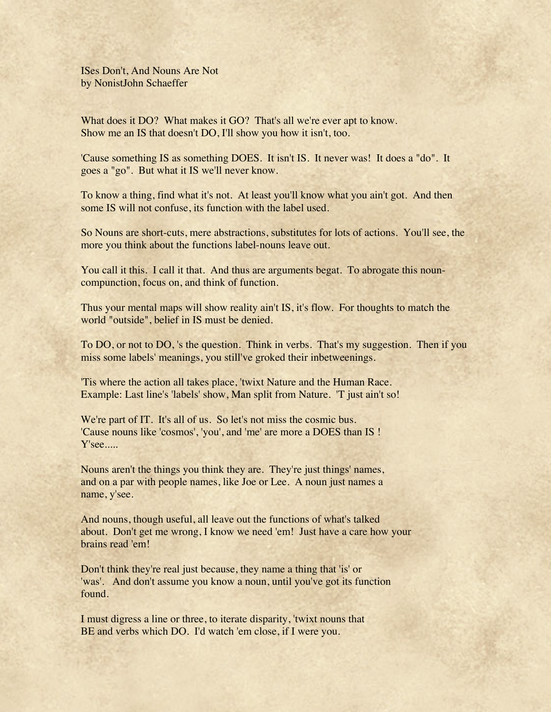ISes Don't, And Nouns Are Not by NonistJohn Schaeffer

What does it DO? What makes it GO? That's all we're ever apt to know. Show me an IS that doesn't DO, I'll show you how it isn't, too.

'Cause something IS as something DOES. It isn't IS. It never was! It does a "do". It goes a "go". But what it IS we'll never know.

To know a thing, find what it's not. At least you'll know what you ain't got. And then some IS will not confuse, its function with the label used.

So Nouns are short-cuts, mere abstractions, substitutes for lots of actions. You'll see, the more you think about the functions label-nouns leave out.

You call it this. I call it that. And thus are arguments begat. To abrogate this nouncompunction, focus on, and think of function.

Thus your mental maps will show reality ain't IS, it's flow. For thoughts to match the world "outside", belief in IS must be denied.

To DO, or not to DO, 's the question. Think in verbs. That's my suggestion. Then if you miss some labels' meanings, you still've groked their inbetweenings.

'Tis where the action all takes place, 'twixt Nature and the Human Race. Example: Last line's 'labels' show, Man split from Nature. 'T just ain't so!

We're part of IT. It's all of us. So let's not miss the cosmic bus. 'Cause nouns like 'cosmos', 'you', and 'me' are more a DOES than IS ! Y'see.....

Nouns aren't the things you think they are. They're just things' names, and on a par with people names, like Joe or Lee. A noun just names a name, y'see.

And nouns, though useful, all leave out the functions of what's talked about. Don't get me wrong, I know we need 'em! Just have a care how your brains read 'em!

Don't think they're real just because, they name a thing that 'is' or 'was'. And don't assume you know a noun, until you've got its function found.

I must digress a line or three, to iterate disparity, 'twixt nouns that BE and verbs which DO. I'd watch 'em close, if I were you.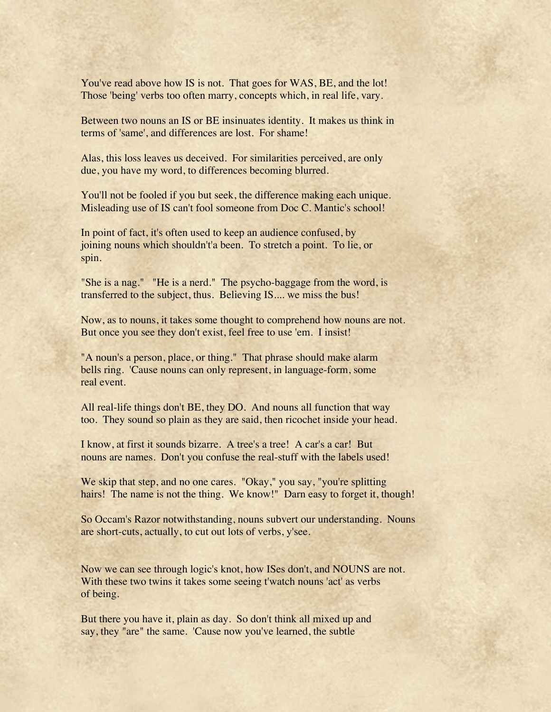You've read above how IS is not. That goes for WAS, BE, and the lot! Those 'being' verbs too often marry, concepts which, in real life, vary.

Between two nouns an IS or BE insinuates identity. It makes us think in terms of 'same', and differences are lost. For shame!

Alas, this loss leaves us deceived. For similarities perceived, are only due, you have my word, to differences becoming blurred.

You'll not be fooled if you but seek, the difference making each unique. Misleading use of IS can't fool someone from Doc C. Mantic's school!

In point of fact, it's often used to keep an audience confused, by joining nouns which shouldn't'a been. To stretch a point. To lie, or spin.

"She is a nag." "He is a nerd." The psycho-baggage from the word, is transferred to the subject, thus. Believing IS.... we miss the bus!

Now, as to nouns, it takes some thought to comprehend how nouns are not. But once you see they don't exist, feel free to use 'em. I insist!

"A noun's a person, place, or thing." That phrase should make alarm bells ring. 'Cause nouns can only represent, in language-form, some real event.

All real-life things don't BE, they DO. And nouns all function that way too. They sound so plain as they are said, then ricochet inside your head.

I know, at first it sounds bizarre. A tree's a tree! A car's a car! But nouns are names. Don't you confuse the real-stuff with the labels used!

We skip that step, and no one cares. "Okay," you say, "you're splitting hairs! The name is not the thing. We know!" Darn easy to forget it, though!

So Occam's Razor notwithstanding, nouns subvert our understanding. Nouns are short-cuts, actually, to cut out lots of verbs, y'see.

Now we can see through logic's knot, how ISes don't, and NOUNS are not. With these two twins it takes some seeing t'watch nouns 'act' as verbs of being.

But there you have it, plain as day. So don't think all mixed up and say, they "are" the same. 'Cause now you've learned, the subtle